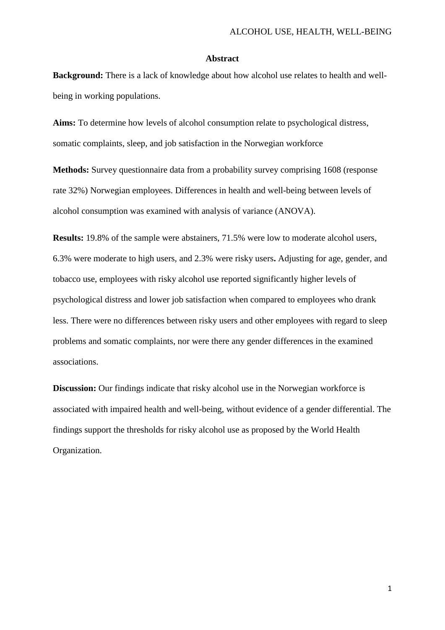## **Abstract**

**Background:** There is a lack of knowledge about how alcohol use relates to health and wellbeing in working populations.

**Aims:** To determine how levels of alcohol consumption relate to psychological distress, somatic complaints, sleep, and job satisfaction in the Norwegian workforce

**Methods:** Survey questionnaire data from a probability survey comprising 1608 (response rate 32%) Norwegian employees. Differences in health and well-being between levels of alcohol consumption was examined with analysis of variance (ANOVA).

**Results:** 19.8% of the sample were abstainers, 71.5% were low to moderate alcohol users, 6.3% were moderate to high users, and 2.3% were risky users**.** Adjusting for age, gender, and tobacco use, employees with risky alcohol use reported significantly higher levels of psychological distress and lower job satisfaction when compared to employees who drank less. There were no differences between risky users and other employees with regard to sleep problems and somatic complaints, nor were there any gender differences in the examined associations.

**Discussion:** Our findings indicate that risky alcohol use in the Norwegian workforce is associated with impaired health and well-being, without evidence of a gender differential. The findings support the thresholds for risky alcohol use as proposed by the World Health Organization.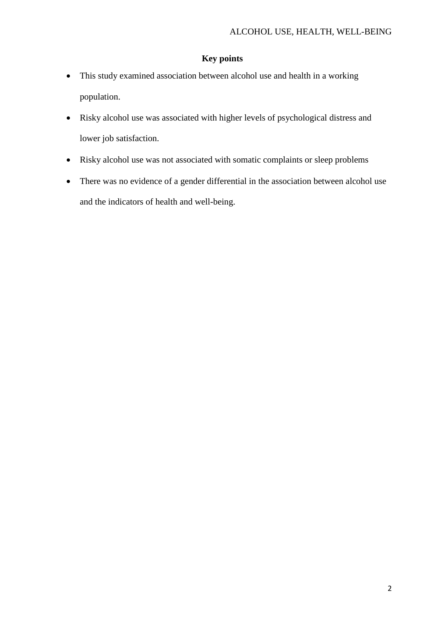# **Key points**

- This study examined association between alcohol use and health in a working population.
- Risky alcohol use was associated with higher levels of psychological distress and lower job satisfaction.
- Risky alcohol use was not associated with somatic complaints or sleep problems
- There was no evidence of a gender differential in the association between alcohol use and the indicators of health and well-being.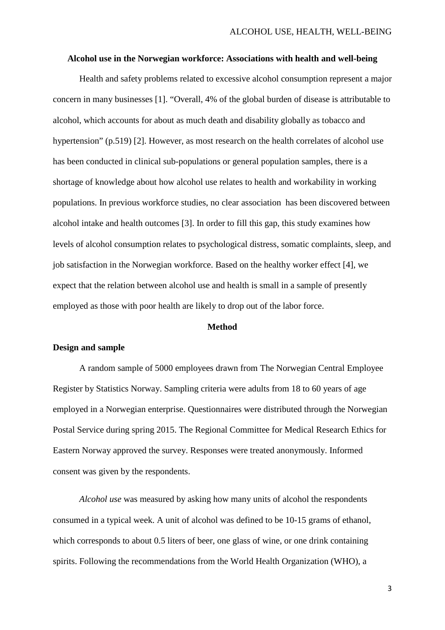### **Alcohol use in the Norwegian workforce: Associations with health and well-being**

Health and safety problems related to excessive alcohol consumption represent a major concern in many businesses [1]. "Overall, 4% of the global burden of disease is attributable to alcohol, which accounts for about as much death and disability globally as tobacco and hypertension" (p.519) [2]. However, as most research on the health correlates of alcohol use has been conducted in clinical sub-populations or general population samples, there is a shortage of knowledge about how alcohol use relates to health and workability in working populations. In previous workforce studies, no clear association has been discovered between alcohol intake and health outcomes [3]. In order to fill this gap, this study examines how levels of alcohol consumption relates to psychological distress, somatic complaints, sleep, and job satisfaction in the Norwegian workforce. Based on the healthy worker effect [4], we expect that the relation between alcohol use and health is small in a sample of presently employed as those with poor health are likely to drop out of the labor force.

## **Method**

## **Design and sample**

A random sample of 5000 employees drawn from The Norwegian Central Employee Register by Statistics Norway. Sampling criteria were adults from 18 to 60 years of age employed in a Norwegian enterprise. Questionnaires were distributed through the Norwegian Postal Service during spring 2015. The Regional Committee for Medical Research Ethics for Eastern Norway approved the survey. Responses were treated anonymously. Informed consent was given by the respondents.

*Alcohol use* was measured by asking how many units of alcohol the respondents consumed in a typical week. A unit of alcohol was defined to be 10-15 grams of ethanol, which corresponds to about 0.5 liters of beer, one glass of wine, or one drink containing spirits. Following the recommendations from the World Health Organization (WHO), a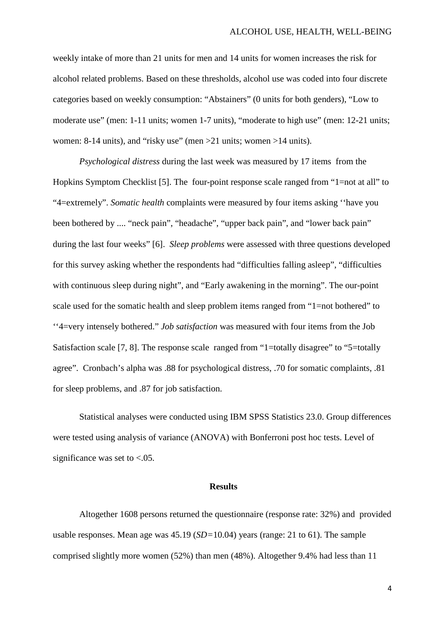weekly intake of more than 21 units for men and 14 units for women increases the risk for alcohol related problems. Based on these thresholds, alcohol use was coded into four discrete categories based on weekly consumption: "Abstainers" (0 units for both genders), "Low to moderate use" (men: 1-11 units; women 1-7 units), "moderate to high use" (men: 12-21 units; women: 8-14 units), and "risky use" (men >21 units; women >14 units).

*Psychological distress* during the last week was measured by 17 items from the Hopkins Symptom Checklist [5]. The four-point response scale ranged from "1=not at all" to "4=extremely". *Somatic health* complaints were measured by four items asking ''have you been bothered by .... "neck pain", "headache", "upper back pain", and "lower back pain" during the last four weeks" [6]. *Sleep problems* were assessed with three questions developed for this survey asking whether the respondents had "difficulties falling asleep", "difficulties with continuous sleep during night", and "Early awakening in the morning". The our-point scale used for the somatic health and sleep problem items ranged from "1=not bothered" to ''4=very intensely bothered." *Job satisfaction* was measured with four items from the Job Satisfaction scale [7, 8]. The response scale ranged from "1=totally disagree" to "5=totally agree". Cronbach's alpha was .88 for psychological distress, .70 for somatic complaints, .81 for sleep problems, and .87 for job satisfaction.

Statistical analyses were conducted using IBM SPSS Statistics 23.0. Group differences were tested using analysis of variance (ANOVA) with Bonferroni post hoc tests. Level of significance was set to  $< .05$ .

#### **Results**

Altogether 1608 persons returned the questionnaire (response rate: 32%) and provided usable responses. Mean age was 45.19 (*SD=*10.04) years (range: 21 to 61). The sample comprised slightly more women (52%) than men (48%). Altogether 9.4% had less than 11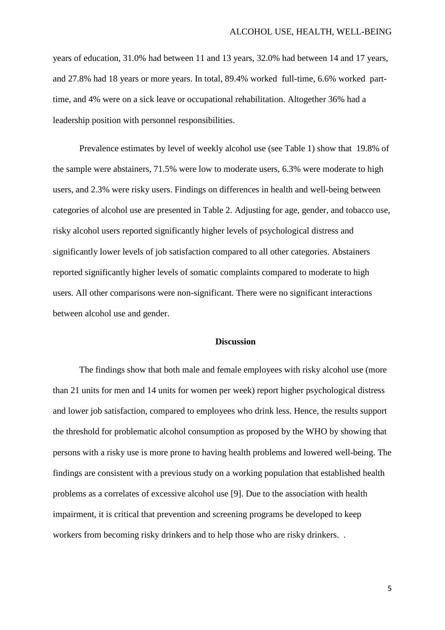years of education, 31.0% had between 11 and 13 years, 32.0% had between 14 and 17 years, and 27.8% had 18 years or more years. In total, 89.4% worked full-time, 6.6% worked parttime, and 4% were on a sick leave or occupational rehabilitation. Altogether 36% had a leadership position with personnel responsibilities.

Prevalence estimates by level of weekly alcohol use (see Table 1) show that 19.8% of the sample were abstainers, 71.5% were low to moderate users, 6.3% were moderate to high users, and 2.3% were risky users. Findings on differences in health and well-being between categories of alcohol use are presented in Table 2. Adjusting for age, gender, and tobacco use, risky alcohol users reported significantly higher levels of psychological distress and significantly lower levels of job satisfaction compared to all other categories. Abstainers reported significantly higher levels of somatic complaints compared to moderate to high users. All other comparisons were non-significant. There were no significant interactions between alcohol use and gender.

## **Discussion**

The findings show that both male and female employees with risky alcohol use (more than 21 units for men and 14 units for women per week) report higher psychological distress and lower job satisfaction, compared to employees who drink less. Hence, the results support the threshold for problematic alcohol consumption as proposed by the WHO by showing that persons with a risky use is more prone to having health problems and lowered well-being. The findings are consistent with a previous study on a working population that established health problems as a correlates of excessive alcohol use [9]. Due to the association with health impairment, it is critical that prevention and screening programs be developed to keep workers from becoming risky drinkers and to help those who are risky drinkers. .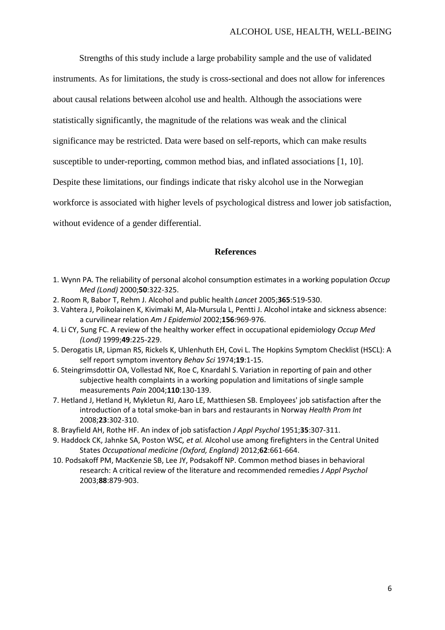Strengths of this study include a large probability sample and the use of validated instruments. As for limitations, the study is cross-sectional and does not allow for inferences about causal relations between alcohol use and health. Although the associations were statistically significantly, the magnitude of the relations was weak and the clinical significance may be restricted. Data were based on self-reports, which can make results susceptible to under-reporting, common method bias, and inflated associations [1, 10]. Despite these limitations, our findings indicate that risky alcohol use in the Norwegian workforce is associated with higher levels of psychological distress and lower job satisfaction, without evidence of a gender differential.

## **References**

- 1. Wynn PA. The reliability of personal alcohol consumption estimates in a working population *Occup Med (Lond)* 2000;**50**:322-325.
- 2. Room R, Babor T, Rehm J. Alcohol and public health *Lancet* 2005;**365**:519-530.
- 3. Vahtera J, Poikolainen K, Kivimaki M, Ala-Mursula L, Pentti J. Alcohol intake and sickness absence: a curvilinear relation *Am J Epidemiol* 2002;**156**:969-976.
- 4. Li CY, Sung FC. A review of the healthy worker effect in occupational epidemiology *Occup Med (Lond)* 1999;**49**:225-229.
- 5. Derogatis LR, Lipman RS, Rickels K, Uhlenhuth EH, Covi L. The Hopkins Symptom Checklist (HSCL): A self report symptom inventory *Behav Sci* 1974;**19**:1-15.
- 6. Steingrimsdottir OA, Vollestad NK, Roe C, Knardahl S. Variation in reporting of pain and other subjective health complaints in a working population and limitations of single sample measurements *Pain* 2004;**110**:130-139.
- 7. Hetland J, Hetland H, Mykletun RJ, Aaro LE, Matthiesen SB. Employees' job satisfaction after the introduction of a total smoke-ban in bars and restaurants in Norway *Health Prom Int*  2008;**23**:302-310.
- 8. Brayfield AH, Rothe HF. An index of job satisfaction *J Appl Psychol* 1951;**35**:307-311.
- 9. Haddock CK, Jahnke SA, Poston WSC*, et al.* Alcohol use among firefighters in the Central United States *Occupational medicine (Oxford, England)* 2012;**62**:661-664.
- 10. Podsakoff PM, MacKenzie SB, Lee JY, Podsakoff NP. Common method biases in behavioral research: A critical review of the literature and recommended remedies *J Appl Psychol*  2003;**88**:879-903.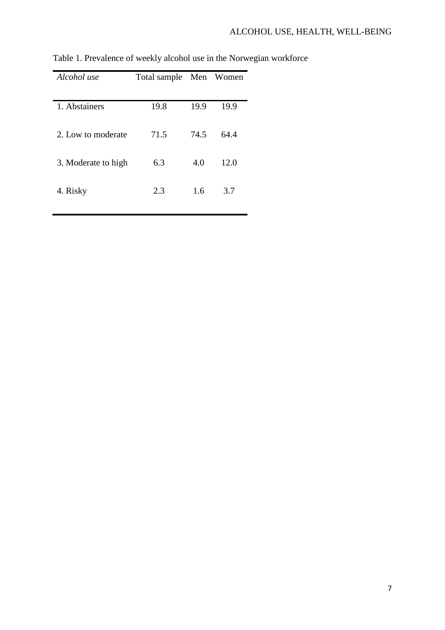| Alcohol use         | Total sample Men Women |      |      |  |
|---------------------|------------------------|------|------|--|
| 1. Abstainers       | 19.8                   | 19.9 | 19.9 |  |
|                     |                        |      |      |  |
| 2. Low to moderate  | 71.5                   | 74.5 | 64.4 |  |
| 3. Moderate to high | 6.3                    | 4.0  | 12.0 |  |
| 4. Risky            | 2.3                    | 1.6  | 3.7  |  |

Table 1. Prevalence of weekly alcohol use in the Norwegian workforce